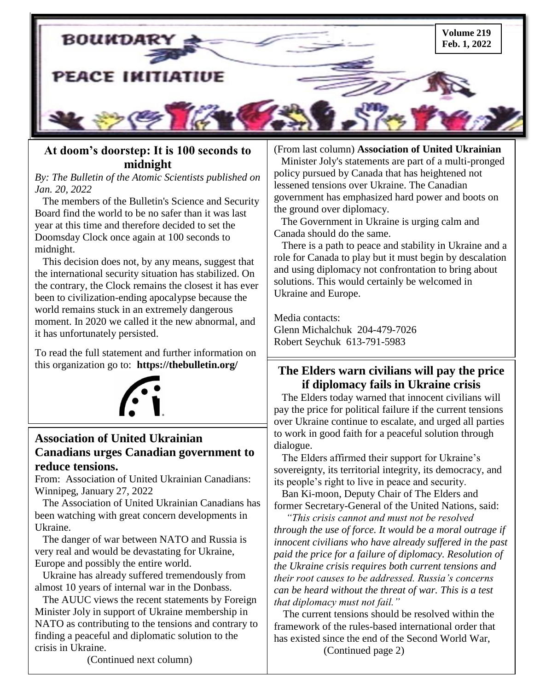

### **[At doom's doorstep: It is 100 seconds to](https://info.thebulletin.org/e/878782/DoomsdayClock-2022Announcement/2gqjk/417728546?h=P_fU5_6uBpfSwarCI0E7d3eIZZBKDhcSCmAwWXTK8Qk) [midnight](https://info.thebulletin.org/e/878782/DoomsdayClock-2022Announcement/2gqjk/417728546?h=P_fU5_6uBpfSwarCI0E7d3eIZZBKDhcSCmAwWXTK8Qk)**

#### *By: The Bulletin of the Atomic Scientists published on Jan. 20, 2022*

 Doomsday Clock once again at 100 seconds to The members of the Bulletin's Science and Security Board find the world to be no safer than it was last year at this time and therefore decided to set the midnight.

 This decision does not, by any means, suggest that the international security situation has stabilized. On the contrary, the Clock remains the closest it has ever been to civilization-ending apocalypse because the world remains stuck in an extremely dangerous moment. In 2020 we called it the new abnormal, and it has unfortunately persisted.

To read the full statement and further information on this organization go to: **https://thebulletin.org/**



## **Association of United Ukrainian Canadians urges Canadian government to reduce tensions.**

From:Association of United Ukrainian Canadians: Winnipeg, January 27, 2022

 The Association of United Ukrainian Canadians has been watching with great concern developments in Ukraine.

 The danger of war between NATO and Russia is very real and would be devastating for Ukraine, Europe and possibly the entire world.

 Ukraine has already suffered tremendously from almost 10 years of internal war in the Donbass.

 The AUUC views the recent statements by Foreign Minister Joly in support of Ukraine membership in NATO as contributing to the tensions and contrary to finding a peaceful and diplomatic solution to the crisis in Ukraine.

#### (From last column) **Association of United Ukrainian**

 Minister Joly's statements are part of a multi-pronged policy pursued by Canada that has heightened not lessened tensions over Ukraine. The Canadian government has emphasized hard power and boots on the ground over diplomacy.

 The Government in Ukraine is urging calm and Canada should do the same.

 There is a path to peace and stability in Ukraine and a role for Canada to play but it must begin by descalation and using diplomacy not confrontation to bring about solutions. This would certainly be welcomed in Ukraine and Europe.

Media contacts: Glenn Michalchuk 204-479-7026 Robert Seychuk 613-791-5983

## **The Elders warn civilians will pay the price if diplomacy fails in Ukraine crisis**

 pay the price for political failure if the current tensions The Elders today warned that innocent civilians will over Ukraine continue to escalate, and urged all parties to work in good faith for a peaceful solution through dialogue.

 The Elders affirmed their support for Ukraine's sovereignty, its territorial integrity, its democracy, and its people's right to live in peace and security.

 [Ban Ki-moon,](https://theelders.cmail20.com/t/y-l-bskjuy-yucdybil-y/) Deputy Chair of The Elders and former Secretary-General of the United Nations, said:

 *the Ukraine crisis requires both current tensions and "This crisis cannot and must not be resolved through the use of force. It would be a moral outrage if innocent civilians who have already suffered in the past paid the price for a failure of diplomacy. Resolution of their root causes to be addressed. Russia's concerns can be heard without the threat of war. This is a test that diplomacy must not fail."*

 The current tensions should be resolved within the framework of the rules-based international order that has existed since the end of the Second World War, (Continued page 2)

(Continued next column)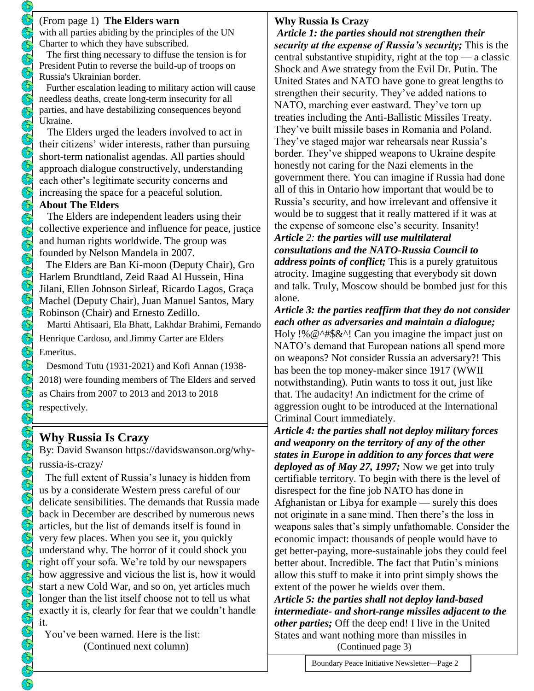with all parties abiding by the principles of the UN Charter to which they have subscribed.

 The first thing necessary to diffuse the tension is for President Putin to reverse the build-up of troops on Russia's Ukrainian border.

 Further escalation leading to military action will cause needless deaths, create long-term insecurity for all parties, and have destabilizing consequences beyond Ukraine.

 The Elders urged the leaders involved to act in their citizens' wider interests, rather than pursuing short-term nationalist agendas. All parties should approach dialogue constructively, understanding each other's legitimate security concerns and increasing the space for a peaceful solution.

#### **About The Elders**

 The Elders are independent leaders using their collective experience and influence for peace, justice and human rights worldwide. The group was founded by [Nelson Mandela](https://theelders.cmail20.com/t/y-l-bskjuy-yucdybil-t/) in 2007.

 The Elders are [Ban Ki-moon](https://theelders.cmail20.com/t/y-l-bskjuy-yucdybil-i/) (Deputy Chair), [Gro](https://theelders.cmail20.com/t/y-l-bskjuy-yucdybil-d/)  [Harlem Brundtland,](https://theelders.cmail20.com/t/y-l-bskjuy-yucdybil-d/) [Zeid Raad Al Hussein,](https://theelders.cmail20.com/t/y-l-bskjuy-yucdybil-h/) [Hina](https://theelders.cmail20.com/t/y-l-bskjuy-yucdybil-k/)  [Jilani,](https://theelders.cmail20.com/t/y-l-bskjuy-yucdybil-k/) [Ellen Johnson Sirleaf,](https://theelders.cmail20.com/t/y-l-bskjuy-yucdybil-u/) [Ricardo Lagos,](https://theelders.cmail20.com/t/y-l-bskjuy-yucdybil-o/) [Graça](https://theelders.cmail20.com/t/y-l-bskjuy-yucdybil-b/)  [Machel](https://theelders.cmail20.com/t/y-l-bskjuy-yucdybil-b/) (Deputy Chair), [Juan Manuel Santos,](https://theelders.cmail20.com/t/y-l-bskjuy-yucdybil-n/) [Mary](https://theelders.cmail20.com/t/y-l-bskjuy-yucdybil-p/)  [Robinson](https://theelders.cmail20.com/t/y-l-bskjuy-yucdybil-p/) (Chair) and [Ernesto Zedillo.](https://theelders.cmail20.com/t/y-l-bskjuy-yucdybil-x/)

[Martti Ahtisaari,](https://theelders.cmail20.com/t/y-l-bskjuy-yucdybil-m/) [Ela Bhatt,](https://theelders.cmail20.com/t/y-l-bskjuy-yucdybil-c/) [Lakhdar Brahimi,](https://theelders.cmail20.com/t/y-l-bskjuy-yucdybil-q/) [Fernando](https://theelders.cmail20.com/t/y-l-bskjuy-yucdybil-a/)  [Henrique Cardoso,](https://theelders.cmail20.com/t/y-l-bskjuy-yucdybil-a/) and [Jimmy Carter](https://theelders.cmail20.com/t/y-l-bskjuy-yucdybil-f/) are Elders Emeritus.

 [Desmond Tutu](https://theelders.cmail20.com/t/y-l-bskjuy-yucdybil-z/) (1931-2021) and [Kofi Annan](https://theelders.cmail20.com/t/y-l-bskjuy-yucdybil-v/) (1938- 2018) were founding members of The Elders and served as Chairs from 2007 to 2013 and 2013 to 2018 respectively.

# **Why Russia Is Crazy**

By: David Swanson [https://davidswanson.org/why](https://davidswanson.org/why-russia-is-crazy/)[russia-is-crazy/](https://davidswanson.org/why-russia-is-crazy/) 

 how aggressive and vicious the list is, how it would us by a considerate Western press careful of our The full extent of Russia's lunacy is hidden from delicate sensibilities. The demands that [Russia](https://www.theguardian.com/world/2021/dec/17/russia-issues-list-demands-tensions-europe-ukraine-nato) made [back](https://americanmilitarynews.com/2021/12/putin-demands-that-west-provide-russia-with-security-guarantees-immediately/) in [December](https://news.sky.com/story/russia-sets-out-list-of-demands-from-nato-in-draft-security-deal-12498296) are [described](https://www.nytimes.com/2021/12/17/world/europe/russia-nato-security-deal.html) by [numerous](https://abcnews.go.com/International/russia-makes-sweeping-demands-security-guarantees-us-amid/story?id=81821816) news [articles,](https://www.themoscowtimes.com/2021/12/20/russia-demands-urgent-us-talks-warning-of-military-response-a75880) but the list of demands itself is found in very few [places.](https://www.intellinews.com/russia-issues-a-five-point-list-of-demands-229829/) When you see it, you quickly understand why. The horror of it could shock you right off your sofa. We're told by our newspapers start a new Cold War, and so on, yet articles much longer than the list itself choose not to tell us what exactly it is, clearly for fear that we couldn't handle it.

 You've been warned. Here is the list: (Continued next column)

### **Why Russia Is Crazy**

*Article 1: the parties should not strengthen their security at the expense of Russia's security;* This is the central substantive stupidity, right at the top  $-$  a classic Shock and Awe strategy from the Evil Dr. Putin. The United States and NATO have gone to great lengths to strengthen their security. They've added nations to NATO, marching ever eastward. They've torn up treaties including the Anti-Ballistic Missiles Treaty. They've built missile bases in Romania and Poland. They've staged major war rehearsals near Russia's border. They've shipped weapons to Ukraine despite honestly not caring for the Nazi elements in the government there. You can imagine if Russia had done all of this in Ontario how important that would be to Russia's security, and how irrelevant and offensive it would be to suggest that it really mattered if it was at the expense of someone else's security. Insanity! *Article 2: the parties will use multilateral* 

*consultations and the NATO-Russia Council to address points of conflict;* This is a purely gratuitous atrocity. Imagine suggesting that everybody sit down and talk. Truly, Moscow should be bombed just for this

alone. *Article 3: the parties reaffirm that they do not consider each other as adversaries and maintain a dialogue;* Holy !% @^#\$&^! Can you imagine the impact just on NATO's demand that European nations all spend more on weapons? Not consider Russia an adversary?! This has been the top money-maker since 1917 (WWII notwithstanding). Putin wants to toss it out, just like that. The audacity! An indictment for the crime of aggression ought to be introduced at the International Criminal Court immediately.

*Article 4: the parties shall not deploy military forces and weaponry on the territory of any of the other states in Europe in addition to any forces that were deployed as of May 27, 1997;* Now we get into truly certifiable territory. To begin with there is the level of disrespect for the fine job NATO has done in Afghanistan or Libya for example — surely this does not originate in a sane mind. Then there's the loss in weapons sales that's simply unfathomable. Consider the economic impact: thousands of people would have to get better-paying, more-sustainable jobs they could feel better about. Incredible. The fact that Putin's minions allow this stuff to make it into print simply shows the extent of the power he wields over them.

*Article 5: the parties shall not deploy land-based intermediate- and short-range missiles adjacent to the other parties;* Off the deep end! I live in the United States and want nothing more than missiles in (Continued page 3)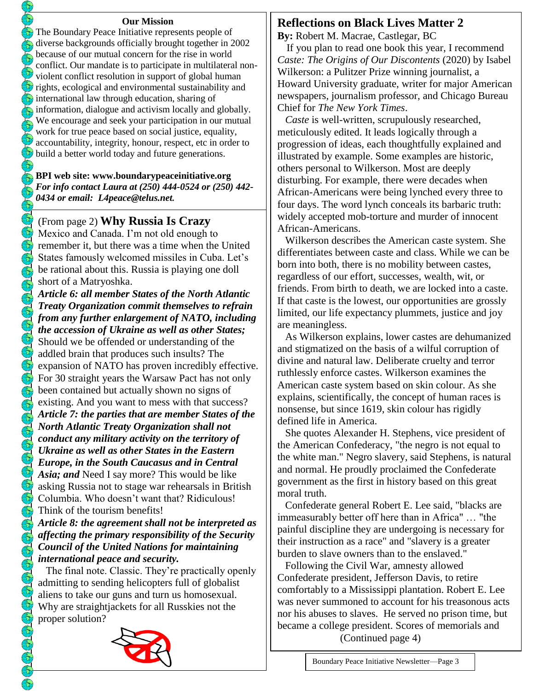#### **Our Mission**

The Boundary Peace Initiative represents people of diverse backgrounds officially brought together in 2002  $\sum_{n=1}^{\infty}$  because of our mutual concern for the rise in world conflict. Our mandate is to participate in multilateral nonviolent conflict resolution in support of global human  $\bigcirc$  rights, ecological and environmental sustainability and  $\mathbf{\hat{\Omega}}$  international law through education, sharing of  $\sqrt{\xi_0}$  information, dialogue and activism locally and globally. We encourage and seek your participation in our mutual work for true peace based on social justice, equality,  $\mathbb{Z}$ accountability, integrity, honour, respect, etc in order to build a better world today and future generations.

#### **BPI web site: [www.boundarypeaceinitiative.org](http://www.boundarypeaceinitiative.org/)** *For info contact Laura at (250) 444-0524 or (250) 442- 0434 or email: [L4peace@telus.net](mailto:L4peace@telus.net).*

### (From page 2) **Why Russia Is Crazy**

 $(\epsilon)$ 

 $\left(\widehat{\mathbf{b}}\right)$  $\mathcal{E}_\mathcal{D}$ 

E E

 $\left(\overline{\mathbf{b}}\right)$  $\mathfrak{F}$  $\mathcal{E}$  $\mathcal{E}$  $\mathbb{G}$ 

E E  $\widetilde{\Theta}$  $\bigcirc$  $(\hat{t})$  $\mathcal{L}$ 

 $\left(\begin{smallmatrix} 2\\ 0\end{smallmatrix}\right)$ 

 $\left(\frac{1}{2}\right)$ 

 $\mathcal{L}(\mathcal{D})$ 

Mexico and Canada. I'm not old enough to remember it, but there was a time when the United States famously welcomed missiles in Cuba. Let's be rational about this. Russia is playing one doll short of a Matryoshka.

*Article 6: all member States of the North Atlantic Treaty Organization commit themselves to refrain from any further enlargement of NATO, including the accession of Ukraine as well as other States;* Should we be offended or understanding of the addled brain that produces such insults? The expansion of NATO has proven incredibly effective. For 30 straight years the Warsaw Pact has not only been contained but actually shown no signs of existing. And you want to mess with that success? *Article 7: the parties that are member States of the North Atlantic Treaty Organization shall not conduct any military activity on the territory of Ukraine as well as other States in the Eastern Europe, in the South Caucasus and in Central Asia; and* Need I say more? This would be like asking Russia not to stage war rehearsals in British Columbia. Who doesn't want that? Ridiculous! Think of the tourism benefits!

### *Article 8: the agreement shall not be interpreted as affecting the primary responsibility of the Security Council of the United Nations for maintaining international peace and security.*

 The final note. Classic. They're practically openly admitting to sending helicopters full of globalist aliens to take our guns and turn us homosexual. Why are straightjackets for all Russkies not the proper solution?



 $\overline{a}$ 

# **Reflections on Black Lives Matter 2**

**By:** Robert M. Macrae, Castlegar, BC

 If you plan to read one book this year, I recommend *Caste: The Origins of Our Discontents* (2020) by Isabel Wilkerson: a Pulitzer Prize winning journalist, a Howard University graduate, writer for major American newspapers, journalism professor, and Chicago Bureau Chief for *The New York Times*.

 *Caste* is well-written, scrupulously researched, meticulously edited. It leads logically through a progression of ideas, each thoughtfully explained and illustrated by example. Some examples are historic, others personal to Wilkerson. Most are deeply disturbing. For example, there were decades when African-Americans were being lynched every three to four days. The word lynch conceals its barbaric truth: widely accepted mob-torture and murder of innocent African-Americans.

 Wilkerson describes the American caste system. She differentiates between caste and class. While we can be born into both, there is no mobility between castes, regardless of our effort, successes, wealth, wit, or friends. From birth to death, we are locked into a caste. If that caste is the lowest, our opportunities are grossly limited, our life expectancy plummets, justice and joy are meaningless.

 As Wilkerson explains, lower castes are dehumanized and stigmatized on the basis of a wilful corruption of divine and natural law. Deliberate cruelty and terror ruthlessly enforce castes. Wilkerson examines the American caste system based on skin colour. As she explains, scientifically, the concept of human races is nonsense, but since 1619, skin colour has rigidly defined life in America.

 She quotes Alexander H. Stephens, vice president of the American Confederacy, "the negro is not equal to the white man." Negro slavery, said Stephens, is natural and normal. He proudly proclaimed the Confederate government as the first in history based on this great moral truth.

 Confederate general Robert E. Lee said, "blacks are immeasurably better off here than in Africa" … "the painful discipline they are undergoing is necessary for their instruction as a race" and "slavery is a greater burden to slave owners than to the enslaved."

 Following the Civil War, amnesty allowed Confederate president, Jefferson Davis, to retire comfortably to a Mississippi plantation. Robert E. Lee was never summoned to account for his treasonous acts nor his abuses to slaves. He served no prison time, but became a college president. Scores of memorials and (Continued page 4)